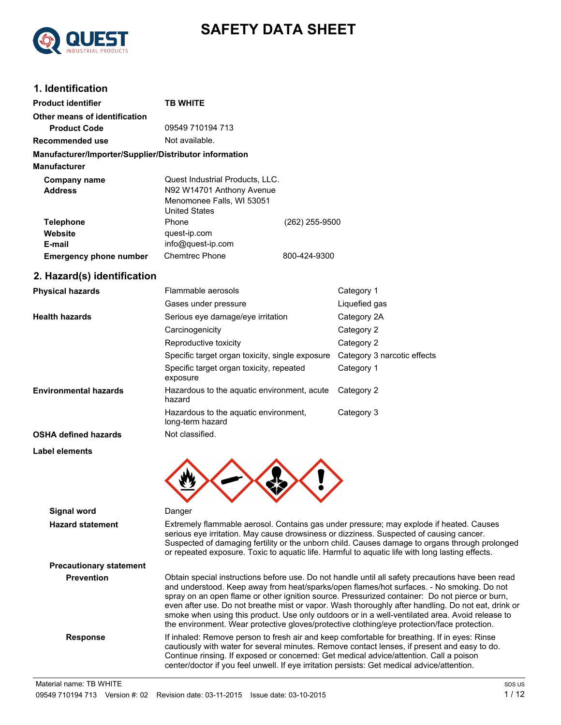

# **SAFETY DATA SHEET**

# **1. Identification**

| <b>Product identifier</b>                              | TB WHITE                                                                                                          |                |
|--------------------------------------------------------|-------------------------------------------------------------------------------------------------------------------|----------------|
| Other means of identification                          |                                                                                                                   |                |
| <b>Product Code</b>                                    | 09549 710194 713                                                                                                  |                |
| Recommended use                                        | Not available.                                                                                                    |                |
| Manufacturer/Importer/Supplier/Distributor information |                                                                                                                   |                |
| <b>Manufacturer</b>                                    |                                                                                                                   |                |
| Company name<br><b>Address</b>                         | Quest Industrial Products, LLC.<br>N92 W14701 Anthony Avenue<br>Menomonee Falls, WI 53051<br><b>United States</b> |                |
| <b>Telephone</b><br>Website<br>E-mail                  | Phone<br>quest-ip.com<br>info@quest-ip.com                                                                        | (262) 255-9500 |
| <b>Emergency phone number</b>                          | <b>Chemtrec Phone</b>                                                                                             | 800-424-9300   |

## **2. Hazard(s) identification**

| <b>Physical hazards</b>      | Flammable aerosols                                        | Category 1                  |  |
|------------------------------|-----------------------------------------------------------|-----------------------------|--|
|                              | Gases under pressure                                      | Liquefied gas               |  |
| <b>Health hazards</b>        | Serious eye damage/eye irritation                         | Category 2A                 |  |
|                              | Carcinogenicity                                           | Category 2                  |  |
|                              | Reproductive toxicity                                     | Category 2                  |  |
|                              | Specific target organ toxicity, single exposure           | Category 3 narcotic effects |  |
|                              | Specific target organ toxicity, repeated<br>exposure      | Category 1                  |  |
| <b>Environmental hazards</b> | Hazardous to the aquatic environment, acute<br>hazard     | Category 2                  |  |
|                              | Hazardous to the aguatic environment,<br>long-term hazard | Category 3                  |  |
| <b>OSHA defined hazards</b>  | Not classified.                                           |                             |  |
|                              |                                                           |                             |  |

#### **Label elements**



## **Signal word** Danger **Hazard statement** Extremely flammable aerosol. Contains gas under pressure; may explode if heated. Causes serious eye irritation. May cause drowsiness or dizziness. Suspected of causing cancer. Suspected of damaging fertility or the unborn child. Causes damage to organs through prolonged or repeated exposure. Toxic to aquatic life. Harmful to aquatic life with long lasting effects. **Precautionary statement Prevention** Obtain special instructions before use. Do not handle until all safety precautions have been read and understood. Keep away from heat/sparks/open flames/hot surfaces. - No smoking. Do not spray on an open flame or other ignition source. Pressurized container: Do not pierce or burn, even after use. Do not breathe mist or vapor. Wash thoroughly after handling. Do not eat, drink or smoke when using this product. Use only outdoors or in a well-ventilated area. Avoid release to the environment. Wear protective gloves/protective clothing/eye protection/face protection. **Response** If inhaled: Remove person to fresh air and keep comfortable for breathing. If in eyes: Rinse cautiously with water for several minutes. Remove contact lenses, if present and easy to do. Continue rinsing. If exposed or concerned: Get medical advice/attention. Call a poison center/doctor if you feel unwell. If eye irritation persists: Get medical advice/attention.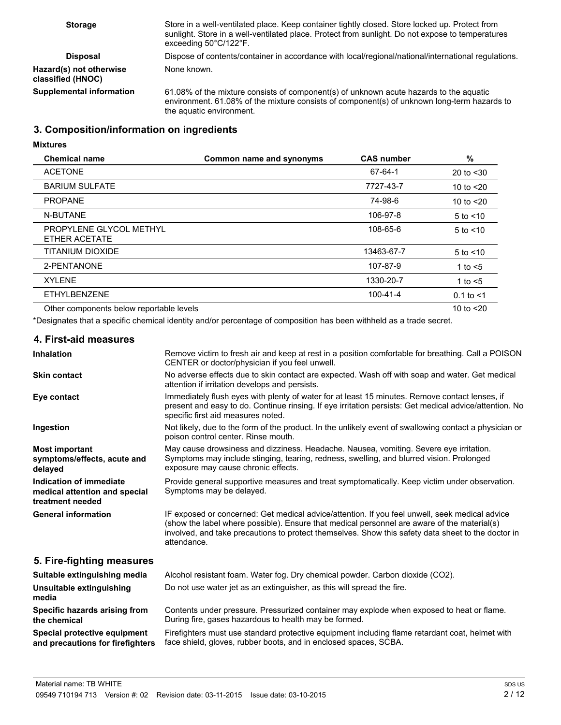| <b>Storage</b>                               | Store in a well-ventilated place. Keep container tightly closed. Store locked up. Protect from<br>sunlight. Store in a well-ventilated place. Protect from sunlight. Do not expose to temperatures<br>exceeding $50^{\circ}$ C/122 $^{\circ}$ F. |
|----------------------------------------------|--------------------------------------------------------------------------------------------------------------------------------------------------------------------------------------------------------------------------------------------------|
| <b>Disposal</b>                              | Dispose of contents/container in accordance with local/regional/national/international regulations.                                                                                                                                              |
| Hazard(s) not otherwise<br>classified (HNOC) | None known.                                                                                                                                                                                                                                      |
| <b>Supplemental information</b>              | 61.08% of the mixture consists of component(s) of unknown acute hazards to the aquatic<br>environment. 61.08% of the mixture consists of component(s) of unknown long-term hazards to<br>the aquatic environment.                                |

# **3. Composition/information on ingredients**

**Mixtures**

| <b>Chemical name</b>                     | Common name and synonyms | <b>CAS number</b> | %              |
|------------------------------------------|--------------------------|-------------------|----------------|
| <b>ACETONE</b>                           |                          | 67-64-1           | 20 to $<$ 30   |
| <b>BARIUM SULFATE</b>                    |                          | 7727-43-7         | 10 to $<$ 20   |
| <b>PROPANE</b>                           |                          | 74-98-6           | 10 to $<$ 20   |
| N-BUTANE                                 |                          | 106-97-8          | $5$ to $<$ 10  |
| PROPYLENE GLYCOL METHYL<br>ETHER ACETATE |                          | 108-65-6          | $5$ to $<$ 10  |
| TITANIUM DIOXIDE                         |                          | 13463-67-7        | $5$ to $<$ 10  |
| 2-PENTANONE                              |                          | 107-87-9          | 1 to $<$ 5     |
| <b>XYLENE</b>                            |                          | 1330-20-7         | 1 to $<$ 5     |
| <b>ETHYLBENZENE</b>                      |                          | 100-41-4          | $0.1$ to $< 1$ |
| Other components below reportable levels |                          |                   | 10 to $<$ 20   |

\*Designates that a specific chemical identity and/or percentage of composition has been withheld as a trade secret.

# **4. First-aid measures**

| <b>Inhalation</b>                                                            | Remove victim to fresh air and keep at rest in a position comfortable for breathing. Call a POISON<br>CENTER or doctor/physician if you feel unwell.                                                                                                                                                               |
|------------------------------------------------------------------------------|--------------------------------------------------------------------------------------------------------------------------------------------------------------------------------------------------------------------------------------------------------------------------------------------------------------------|
| <b>Skin contact</b>                                                          | No adverse effects due to skin contact are expected. Wash off with soap and water. Get medical<br>attention if irritation develops and persists.                                                                                                                                                                   |
| Eye contact                                                                  | Immediately flush eyes with plenty of water for at least 15 minutes. Remove contact lenses, if<br>present and easy to do. Continue rinsing. If eye irritation persists: Get medical advice/attention. No<br>specific first aid measures noted.                                                                     |
| Ingestion                                                                    | Not likely, due to the form of the product. In the unlikely event of swallowing contact a physician or<br>poison control center. Rinse mouth.                                                                                                                                                                      |
| <b>Most important</b><br>symptoms/effects, acute and<br>delayed              | May cause drowsiness and dizziness. Headache. Nausea, vomiting. Severe eye irritation.<br>Symptoms may include stinging, tearing, redness, swelling, and blurred vision. Prolonged<br>exposure may cause chronic effects.                                                                                          |
| Indication of immediate<br>medical attention and special<br>treatment needed | Provide general supportive measures and treat symptomatically. Keep victim under observation.<br>Symptoms may be delayed.                                                                                                                                                                                          |
| <b>General information</b>                                                   | IF exposed or concerned: Get medical advice/attention. If you feel unwell, seek medical advice<br>(show the label where possible). Ensure that medical personnel are aware of the material(s)<br>involved, and take precautions to protect themselves. Show this safety data sheet to the doctor in<br>attendance. |
| 5. Fire-fighting measures                                                    |                                                                                                                                                                                                                                                                                                                    |
| Suitable extinguishing media                                                 | Alcohol resistant foam. Water fog. Dry chemical powder. Carbon dioxide (CO2).                                                                                                                                                                                                                                      |
| Unsuitable extinguishing<br>media                                            | Do not use water jet as an extinguisher, as this will spread the fire.                                                                                                                                                                                                                                             |
| Specific hazards arising from<br>the chemical                                | Contents under pressure. Pressurized container may explode when exposed to heat or flame.<br>During fire, gases hazardous to health may be formed.                                                                                                                                                                 |
| Special protective equipment<br>and precautions for firefighters             | Firefighters must use standard protective equipment including flame retardant coat, helmet with<br>face shield, gloves, rubber boots, and in enclosed spaces, SCBA.                                                                                                                                                |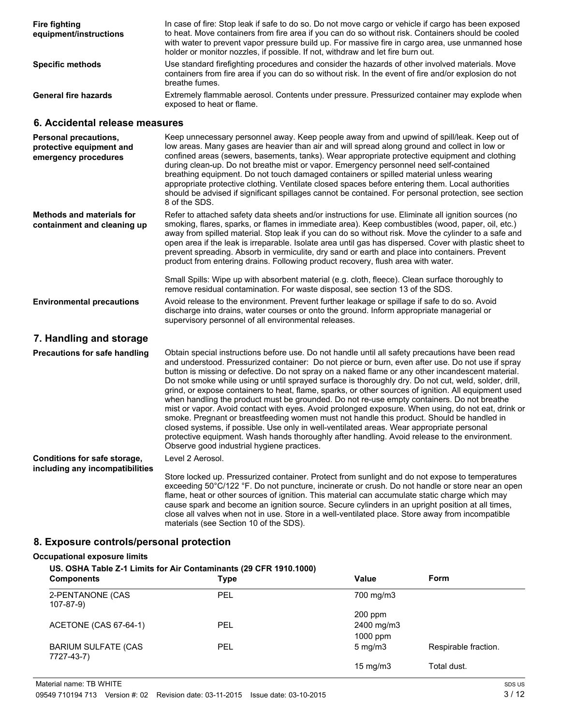| <b>Fire fighting</b><br>equipment/instructions | In case of fire: Stop leak if safe to do so. Do not move cargo or vehicle if cargo has been exposed<br>to heat. Move containers from fire area if you can do so without risk. Containers should be cooled<br>with water to prevent vapor pressure build up. For massive fire in cargo area, use unmanned hose<br>holder or monitor nozzles, if possible. If not, withdraw and let fire burn out. |
|------------------------------------------------|--------------------------------------------------------------------------------------------------------------------------------------------------------------------------------------------------------------------------------------------------------------------------------------------------------------------------------------------------------------------------------------------------|
| <b>Specific methods</b>                        | Use standard firefighting procedures and consider the hazards of other involved materials. Move<br>containers from fire area if you can do so without risk. In the event of fire and/or explosion do not<br>breathe fumes.                                                                                                                                                                       |
| <b>General fire hazards</b>                    | Extremely flammable aerosol. Contents under pressure. Pressurized container may explode when<br>exposed to heat or flame.                                                                                                                                                                                                                                                                        |

# **6. Accidental release measures**

| Personal precautions,<br>protective equipment and<br>emergency procedures | Keep unnecessary personnel away. Keep people away from and upwind of spill/leak. Keep out of<br>low areas. Many gases are heavier than air and will spread along ground and collect in low or<br>confined areas (sewers, basements, tanks). Wear appropriate protective equipment and clothing<br>during clean-up. Do not breathe mist or vapor. Emergency personnel need self-contained<br>breathing equipment. Do not touch damaged containers or spilled material unless wearing<br>appropriate protective clothing. Ventilate closed spaces before entering them. Local authorities<br>should be advised if significant spillages cannot be contained. For personal protection, see section<br>8 of the SDS.                                                                                                                                                                                                                                                                                                                                                          |
|---------------------------------------------------------------------------|---------------------------------------------------------------------------------------------------------------------------------------------------------------------------------------------------------------------------------------------------------------------------------------------------------------------------------------------------------------------------------------------------------------------------------------------------------------------------------------------------------------------------------------------------------------------------------------------------------------------------------------------------------------------------------------------------------------------------------------------------------------------------------------------------------------------------------------------------------------------------------------------------------------------------------------------------------------------------------------------------------------------------------------------------------------------------|
| <b>Methods and materials for</b><br>containment and cleaning up           | Refer to attached safety data sheets and/or instructions for use. Eliminate all ignition sources (no<br>smoking, flares, sparks, or flames in immediate area). Keep combustibles (wood, paper, oil, etc.)<br>away from spilled material. Stop leak if you can do so without risk. Move the cylinder to a safe and<br>open area if the leak is irreparable. Isolate area until gas has dispersed. Cover with plastic sheet to<br>prevent spreading. Absorb in vermiculite, dry sand or earth and place into containers. Prevent<br>product from entering drains. Following product recovery, flush area with water.                                                                                                                                                                                                                                                                                                                                                                                                                                                        |
|                                                                           | Small Spills: Wipe up with absorbent material (e.g. cloth, fleece). Clean surface thoroughly to<br>remove residual contamination. For waste disposal, see section 13 of the SDS.                                                                                                                                                                                                                                                                                                                                                                                                                                                                                                                                                                                                                                                                                                                                                                                                                                                                                          |
| <b>Environmental precautions</b>                                          | Avoid release to the environment. Prevent further leakage or spillage if safe to do so. Avoid<br>discharge into drains, water courses or onto the ground. Inform appropriate managerial or<br>supervisory personnel of all environmental releases.                                                                                                                                                                                                                                                                                                                                                                                                                                                                                                                                                                                                                                                                                                                                                                                                                        |
| 7. Handling and storage                                                   |                                                                                                                                                                                                                                                                                                                                                                                                                                                                                                                                                                                                                                                                                                                                                                                                                                                                                                                                                                                                                                                                           |
| <b>Precautions for safe handling</b>                                      | Obtain special instructions before use. Do not handle until all safety precautions have been read<br>and understood. Pressurized container: Do not pierce or burn, even after use. Do not use if spray<br>button is missing or defective. Do not spray on a naked flame or any other incandescent material.<br>Do not smoke while using or until sprayed surface is thoroughly dry. Do not cut, weld, solder, drill,<br>grind, or expose containers to heat, flame, sparks, or other sources of ignition. All equipment used<br>when handling the product must be grounded. Do not re-use empty containers. Do not breathe<br>mist or vapor. Avoid contact with eyes. Avoid prolonged exposure. When using, do not eat, drink or<br>smoke. Pregnant or breastfeeding women must not handle this product. Should be handled in<br>closed systems, if possible. Use only in well-ventilated areas. Wear appropriate personal<br>protective equipment. Wash hands thoroughly after handling. Avoid release to the environment.<br>Observe good industrial hygiene practices. |
| Conditions for safe storage,                                              | Level 2 Aerosol.                                                                                                                                                                                                                                                                                                                                                                                                                                                                                                                                                                                                                                                                                                                                                                                                                                                                                                                                                                                                                                                          |
| including any incompatibilities                                           | Store locked up. Pressurized container. Protect from sunlight and do not expose to temperatures<br>exceeding 50°C/122 °F. Do not puncture, incinerate or crush. Do not handle or store near an open<br>flame, heat or other sources of ignition. This material can accumulate static charge which may<br>cause spark and become an ignition source. Secure cylinders in an upright position at all times,<br>close all valves when not in use. Store in a well-ventilated place. Store away from incompatible<br>materials (see Section 10 of the SDS).                                                                                                                                                                                                                                                                                                                                                                                                                                                                                                                   |

# **8. Exposure controls/personal protection**

## **Occupational exposure limits**

**US. OSHA Table Z-1 Limits for Air Contaminants (29 CFR 1910.1000)**

| <b>Components</b>                        | <b>Type</b> | Value             | Form                 |  |
|------------------------------------------|-------------|-------------------|----------------------|--|
| 2-PENTANONE (CAS<br>$107 - 87 - 9$       | PEL         | 700 mg/m3         |                      |  |
|                                          |             | $200$ ppm         |                      |  |
| ACETONE (CAS 67-64-1)                    | <b>PEL</b>  | 2400 mg/m3        |                      |  |
|                                          |             | 1000 ppm          |                      |  |
| <b>BARIUM SULFATE (CAS</b><br>7727-43-7) | PEL         | $5 \text{ mg/m}$  | Respirable fraction. |  |
|                                          |             | $15 \text{ mg/m}$ | Total dust.          |  |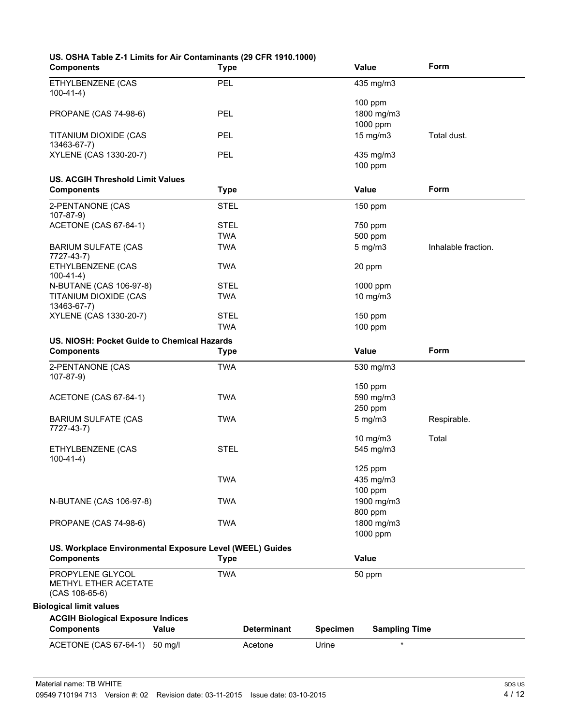| US. OSHA Table Z-1 Limits for Air Contaminants (29 CFR 1910.1000) |      |  |
|-------------------------------------------------------------------|------|--|
| Components                                                        | Tvne |  |

| <b>Components</b>                                        | <b>Type</b> |                    | Value    |                      | Form                |
|----------------------------------------------------------|-------------|--------------------|----------|----------------------|---------------------|
| ETHYLBENZENE (CAS<br>$100-41-4)$                         | PEL         |                    |          | 435 mg/m3            |                     |
|                                                          |             |                    |          | 100 ppm              |                     |
| <b>PROPANE (CAS 74-98-6)</b>                             | <b>PEL</b>  |                    |          | 1800 mg/m3           |                     |
|                                                          |             |                    |          |                      |                     |
|                                                          |             |                    |          | 1000 ppm             |                     |
| TITANIUM DIOXIDE (CAS                                    | PEL         |                    |          | 15 mg/m3             | Total dust.         |
| 13463-67-7)                                              |             |                    |          |                      |                     |
| XYLENE (CAS 1330-20-7)                                   | PEL         |                    |          | 435 mg/m3            |                     |
|                                                          |             |                    |          | $100$ ppm            |                     |
|                                                          |             |                    |          |                      |                     |
| <b>US. ACGIH Threshold Limit Values</b>                  |             |                    |          |                      |                     |
| <b>Components</b>                                        | <b>Type</b> |                    | Value    |                      | <b>Form</b>         |
|                                                          |             |                    |          |                      |                     |
| 2-PENTANONE (CAS                                         | <b>STEL</b> |                    |          | 150 ppm              |                     |
| $107-87-9$                                               |             |                    |          |                      |                     |
| ACETONE (CAS 67-64-1)                                    | <b>STEL</b> |                    |          | 750 ppm              |                     |
|                                                          | <b>TWA</b>  |                    |          | 500 ppm              |                     |
| <b>BARIUM SULFATE (CAS</b>                               | <b>TWA</b>  |                    |          | $5$ mg/m $3$         | Inhalable fraction. |
| 7727-43-7)                                               |             |                    |          |                      |                     |
| ETHYLBENZENE (CAS                                        | <b>TWA</b>  |                    | 20 ppm   |                      |                     |
| $100-41-4)$                                              |             |                    |          |                      |                     |
| N-BUTANE (CAS 106-97-8)                                  | <b>STEL</b> |                    |          | 1000 ppm             |                     |
|                                                          |             |                    |          |                      |                     |
| TITANIUM DIOXIDE (CAS                                    | <b>TWA</b>  |                    |          | 10 mg/m3             |                     |
| 13463-67-7)                                              |             |                    |          |                      |                     |
| XYLENE (CAS 1330-20-7)                                   | <b>STEL</b> |                    |          | 150 ppm              |                     |
|                                                          | <b>TWA</b>  |                    |          | $100$ ppm            |                     |
| US. NIOSH: Pocket Guide to Chemical Hazards              |             |                    |          |                      |                     |
| <b>Components</b>                                        |             |                    | Value    |                      | <b>Form</b>         |
|                                                          | <b>Type</b> |                    |          |                      |                     |
| 2-PENTANONE (CAS                                         | <b>TWA</b>  |                    |          | 530 mg/m3            |                     |
|                                                          |             |                    |          |                      |                     |
|                                                          |             |                    |          |                      |                     |
| $107-87-9$                                               |             |                    |          |                      |                     |
|                                                          |             |                    |          | 150 ppm              |                     |
| ACETONE (CAS 67-64-1)                                    | <b>TWA</b>  |                    |          | 590 mg/m3            |                     |
|                                                          |             |                    |          | 250 ppm              |                     |
| <b>BARIUM SULFATE (CAS</b>                               | <b>TWA</b>  |                    |          | $5$ mg/m $3$         | Respirable.         |
|                                                          |             |                    |          |                      |                     |
|                                                          |             |                    |          | 10 mg/m3             | Total               |
| 7727-43-7)<br>ETHYLBENZENE (CAS                          | <b>STEL</b> |                    |          | 545 mg/m3            |                     |
|                                                          |             |                    |          |                      |                     |
|                                                          |             |                    |          |                      |                     |
|                                                          |             |                    |          | 125 ppm              |                     |
|                                                          | <b>TWA</b>  |                    |          | 435 mg/m3            |                     |
|                                                          |             |                    |          | 100 ppm              |                     |
|                                                          | <b>TWA</b>  |                    |          | 1900 mg/m3           |                     |
|                                                          |             |                    |          | 800 ppm              |                     |
| $100-41-4)$<br>N-BUTANE (CAS 106-97-8)                   |             |                    |          |                      |                     |
|                                                          | <b>TWA</b>  |                    |          | 1800 mg/m3           |                     |
| <b>PROPANE (CAS 74-98-6)</b>                             |             |                    |          | 1000 ppm             |                     |
| US. Workplace Environmental Exposure Level (WEEL) Guides |             |                    |          |                      |                     |
| <b>Components</b>                                        | <b>Type</b> |                    | Value    |                      |                     |
|                                                          |             |                    |          |                      |                     |
| PROPYLENE GLYCOL                                         | <b>TWA</b>  |                    | 50 ppm   |                      |                     |
| METHYL ETHER ACETATE                                     |             |                    |          |                      |                     |
| $(CAS 108-65-6)$                                         |             |                    |          |                      |                     |
|                                                          |             |                    |          |                      |                     |
| <b>Biological limit values</b>                           |             |                    |          |                      |                     |
| <b>ACGIH Biological Exposure Indices</b>                 |             |                    |          |                      |                     |
| <b>Components</b>                                        | Value       | <b>Determinant</b> | Specimen | <b>Sampling Time</b> |                     |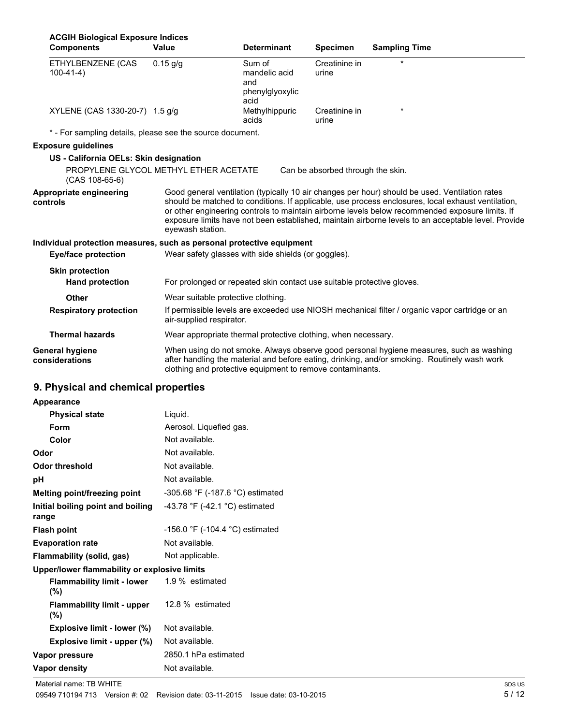| <b>ACGIH Biological Exposure Indices</b>                              |                                                                        |                                                           |                                   |                                                                                                                                                                                                                                                                                                                                                                                                                |
|-----------------------------------------------------------------------|------------------------------------------------------------------------|-----------------------------------------------------------|-----------------------------------|----------------------------------------------------------------------------------------------------------------------------------------------------------------------------------------------------------------------------------------------------------------------------------------------------------------------------------------------------------------------------------------------------------------|
| <b>Components</b>                                                     | Value                                                                  | <b>Determinant</b>                                        | <b>Specimen</b>                   | <b>Sampling Time</b>                                                                                                                                                                                                                                                                                                                                                                                           |
| ETHYLBENZENE (CAS<br>$100-41-4)$                                      | $0.15$ g/g                                                             | Sum of<br>mandelic acid<br>and<br>phenylglyoxylic<br>acid | Creatinine in<br>urine            |                                                                                                                                                                                                                                                                                                                                                                                                                |
| XYLENE (CAS 1330-20-7) 1.5 g/g                                        |                                                                        | Methylhippuric<br>acids                                   | Creatinine in<br>urine            |                                                                                                                                                                                                                                                                                                                                                                                                                |
| * - For sampling details, please see the source document.             |                                                                        |                                                           |                                   |                                                                                                                                                                                                                                                                                                                                                                                                                |
| <b>Exposure quidelines</b>                                            |                                                                        |                                                           |                                   |                                                                                                                                                                                                                                                                                                                                                                                                                |
| US - California OELs: Skin designation                                |                                                                        |                                                           |                                   |                                                                                                                                                                                                                                                                                                                                                                                                                |
| PROPYLENE GLYCOL METHYL ETHER ACETATE<br>$(CAS 108-65-6)$             |                                                                        |                                                           | Can be absorbed through the skin. |                                                                                                                                                                                                                                                                                                                                                                                                                |
| Appropriate engineering<br>controls                                   | eyewash station.                                                       |                                                           |                                   | Good general ventilation (typically 10 air changes per hour) should be used. Ventilation rates<br>should be matched to conditions. If applicable, use process enclosures, local exhaust ventilation,<br>or other engineering controls to maintain airborne levels below recommended exposure limits. If<br>exposure limits have not been established, maintain airborne levels to an acceptable level. Provide |
| Individual protection measures, such as personal protective equipment |                                                                        |                                                           |                                   |                                                                                                                                                                                                                                                                                                                                                                                                                |
| <b>Eye/face protection</b>                                            | Wear safety glasses with side shields (or goggles).                    |                                                           |                                   |                                                                                                                                                                                                                                                                                                                                                                                                                |
| <b>Skin protection</b>                                                |                                                                        |                                                           |                                   |                                                                                                                                                                                                                                                                                                                                                                                                                |
| <b>Hand protection</b>                                                | For prolonged or repeated skin contact use suitable protective gloves. |                                                           |                                   |                                                                                                                                                                                                                                                                                                                                                                                                                |
| Other                                                                 | Wear suitable protective clothing.                                     |                                                           |                                   |                                                                                                                                                                                                                                                                                                                                                                                                                |
| <b>Respiratory protection</b>                                         | air-supplied respirator.                                               |                                                           |                                   | If permissible levels are exceeded use NIOSH mechanical filter / organic vapor cartridge or an                                                                                                                                                                                                                                                                                                                 |
| <b>Thermal hazards</b>                                                | Wear appropriate thermal protective clothing, when necessary.          |                                                           |                                   |                                                                                                                                                                                                                                                                                                                                                                                                                |
| General hygiene<br>considerations                                     | clothing and protective equipment to remove contaminants.              |                                                           |                                   | When using do not smoke. Always observe good personal hygiene measures, such as washing<br>after handling the material and before eating, drinking, and/or smoking. Routinely wash work                                                                                                                                                                                                                        |
| 9. Physical and chemical properties                                   |                                                                        |                                                           |                                   |                                                                                                                                                                                                                                                                                                                                                                                                                |

|  |  |  | Appearance |
|--|--|--|------------|

| Appearance                                   |                                  |
|----------------------------------------------|----------------------------------|
| <b>Physical state</b>                        | Liquid.                          |
| Form                                         | Aerosol. Liquefied gas.          |
| Color                                        | Not available.                   |
| Odor                                         | Not available.                   |
| Odor threshold                               | Not available.                   |
| рH                                           | Not available.                   |
| Melting point/freezing point                 | -305.68 °F (-187.6 °C) estimated |
| Initial boiling point and boiling<br>range   | -43.78 °F (-42.1 °C) estimated   |
| <b>Flash point</b>                           | -156.0 °F (-104.4 °C) estimated  |
| <b>Evaporation rate</b>                      | Not available.                   |
| Flammability (solid, gas)                    | Not applicable.                  |
| Upper/lower flammability or explosive limits |                                  |
| Flammability limit - lower<br>$(\%)$         | 1.9 % estimated                  |
| <b>Flammability limit - upper</b><br>$(\% )$ | 12.8 % estimated                 |
| <b>Explosive limit - lower (%)</b>           | Not available.                   |
| Explosive limit - upper (%)                  | Not available.                   |
| Vapor pressure                               | 2850.1 hPa estimated             |
| Vapor density                                | Not available.                   |
|                                              |                                  |

Material name: TB WHITE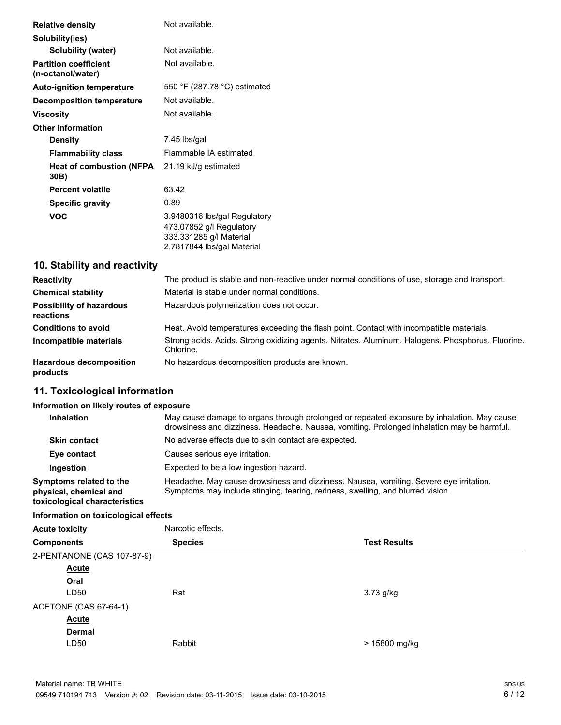| <b>Relative density</b>                           | Not available.                                                                                                    |
|---------------------------------------------------|-------------------------------------------------------------------------------------------------------------------|
| Solubility(ies)                                   |                                                                                                                   |
| <b>Solubility (water)</b>                         | Not available.                                                                                                    |
| <b>Partition coefficient</b><br>(n-octanol/water) | Not available.                                                                                                    |
| <b>Auto-ignition temperature</b>                  | 550 °F (287.78 °C) estimated                                                                                      |
| <b>Decomposition temperature</b>                  | Not available.                                                                                                    |
| Viscosity                                         | Not available.                                                                                                    |
| <b>Other information</b>                          |                                                                                                                   |
| <b>Density</b>                                    | 7.45 lbs/gal                                                                                                      |
| <b>Flammability class</b>                         | Flammable IA estimated                                                                                            |
| <b>Heat of combustion (NFPA</b><br>30B)           | 21.19 kJ/g estimated                                                                                              |
| <b>Percent volatile</b>                           | 63.42                                                                                                             |
| <b>Specific gravity</b>                           | 0.89                                                                                                              |
| <b>VOC</b>                                        | 3.9480316 lbs/gal Regulatory<br>473.07852 g/l Regulatory<br>333.331285 g/l Material<br>2.7817844 lbs/gal Material |

# **10. Stability and reactivity**

| <b>Reactivity</b>                            | The product is stable and non-reactive under normal conditions of use, storage and transport.                  |
|----------------------------------------------|----------------------------------------------------------------------------------------------------------------|
| <b>Chemical stability</b>                    | Material is stable under normal conditions.                                                                    |
| <b>Possibility of hazardous</b><br>reactions | Hazardous polymerization does not occur.                                                                       |
| <b>Conditions to avoid</b>                   | Heat. Avoid temperatures exceeding the flash point. Contact with incompatible materials.                       |
| Incompatible materials                       | Strong acids. Acids. Strong oxidizing agents. Nitrates. Aluminum. Halogens. Phosphorus. Fluorine.<br>Chlorine. |
| <b>Hazardous decomposition</b><br>products   | No hazardous decomposition products are known.                                                                 |

# **11. Toxicological information**

## **Information on likely routes of exposure**

| <b>Inhalation</b>                                                                  | May cause damage to organs through prolonged or repeated exposure by inhalation. May cause<br>drowsiness and dizziness. Headache. Nausea, vomiting. Prolonged inhalation may be harmful. |
|------------------------------------------------------------------------------------|------------------------------------------------------------------------------------------------------------------------------------------------------------------------------------------|
| <b>Skin contact</b>                                                                | No adverse effects due to skin contact are expected.                                                                                                                                     |
| Eye contact                                                                        | Causes serious eye irritation.                                                                                                                                                           |
| Ingestion                                                                          | Expected to be a low ingestion hazard.                                                                                                                                                   |
| Symptoms related to the<br>physical, chemical and<br>toxicological characteristics | Headache. May cause drowsiness and dizziness. Nausea, vomiting. Severe eye irritation.<br>Symptoms may include stinging, tearing, redness, swelling, and blurred vision.                 |

## **Information on toxicological effects**

| <b>Acute toxicity</b>      | Narcotic effects. |                     |
|----------------------------|-------------------|---------------------|
| <b>Components</b>          | <b>Species</b>    | <b>Test Results</b> |
| 2-PENTANONE (CAS 107-87-9) |                   |                     |
| <b>Acute</b>               |                   |                     |
| Oral                       |                   |                     |
| LD50                       | Rat               | $3.73$ g/kg         |
| ACETONE (CAS 67-64-1)      |                   |                     |
| <b>Acute</b>               |                   |                     |
| <b>Dermal</b>              |                   |                     |
| LD50                       | Rabbit            | > 15800 mg/kg       |
|                            |                   |                     |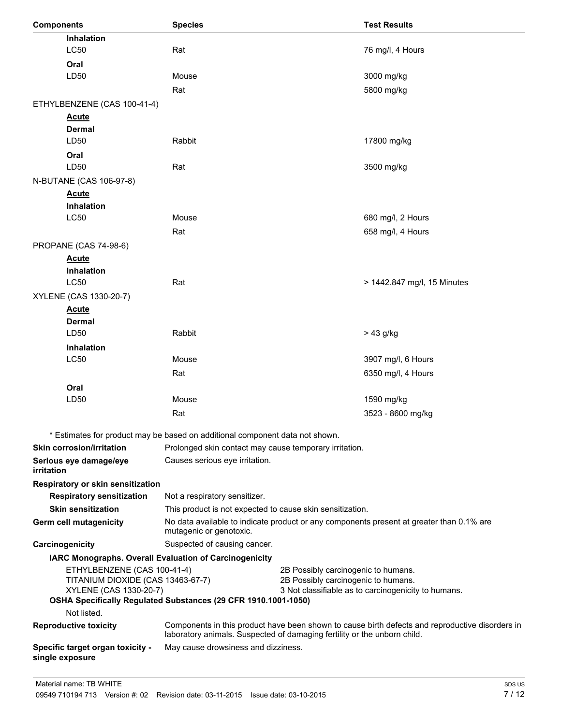| Inhalation<br>LC50<br>Rat<br>76 mg/l, 4 Hours<br>Oral<br>LD50<br>3000 mg/kg<br>Mouse<br>5800 mg/kg<br>Rat<br>ETHYLBENZENE (CAS 100-41-4)<br><b>Acute</b><br><b>Dermal</b><br>LD50<br>Rabbit<br>17800 mg/kg<br>Oral<br>LD50<br>Rat<br>3500 mg/kg<br>N-BUTANE (CAS 106-97-8)<br><b>Acute</b><br><b>Inhalation</b><br>LC50<br>Mouse<br>680 mg/l, 2 Hours<br>658 mg/l, 4 Hours<br>Rat<br>PROPANE (CAS 74-98-6)<br><b>Acute</b><br>Inhalation<br>LC50<br>Rat<br>> 1442.847 mg/l, 15 Minutes<br>XYLENE (CAS 1330-20-7)<br><b>Acute</b><br>Dermal<br>LD50<br>Rabbit<br>$> 43$ g/kg<br><b>Inhalation</b><br><b>LC50</b><br>Mouse<br>3907 mg/l, 6 Hours<br>6350 mg/l, 4 Hours<br>Rat<br>Oral<br>LD50<br>Mouse<br>1590 mg/kg<br>Rat<br>3523 - 8600 mg/kg<br>* Estimates for product may be based on additional component data not shown.<br><b>Skin corrosion/irritation</b><br>Prolonged skin contact may cause temporary irritation.<br>Serious eye damage/eye<br>Causes serious eye irritation.<br>irritation<br>Respiratory or skin sensitization<br>Not a respiratory sensitizer.<br><b>Respiratory sensitization</b><br><b>Skin sensitization</b><br>This product is not expected to cause skin sensitization.<br>No data available to indicate product or any components present at greater than 0.1% are<br>Germ cell mutagenicity<br>mutagenic or genotoxic.<br>Suspected of causing cancer.<br>Carcinogenicity<br>IARC Monographs. Overall Evaluation of Carcinogenicity<br>ETHYLBENZENE (CAS 100-41-4)<br>2B Possibly carcinogenic to humans.<br>TITANIUM DIOXIDE (CAS 13463-67-7)<br>2B Possibly carcinogenic to humans.<br>XYLENE (CAS 1330-20-7)<br>3 Not classifiable as to carcinogenicity to humans.<br>OSHA Specifically Regulated Substances (29 CFR 1910.1001-1050)<br>Not listed.<br><b>Reproductive toxicity</b><br>Components in this product have been shown to cause birth defects and reproductive disorders in<br>laboratory animals. Suspected of damaging fertility or the unborn child.<br>May cause drowsiness and dizziness.<br>Specific target organ toxicity -<br>single exposure | <b>Components</b> | <b>Species</b> | <b>Test Results</b> |
|-----------------------------------------------------------------------------------------------------------------------------------------------------------------------------------------------------------------------------------------------------------------------------------------------------------------------------------------------------------------------------------------------------------------------------------------------------------------------------------------------------------------------------------------------------------------------------------------------------------------------------------------------------------------------------------------------------------------------------------------------------------------------------------------------------------------------------------------------------------------------------------------------------------------------------------------------------------------------------------------------------------------------------------------------------------------------------------------------------------------------------------------------------------------------------------------------------------------------------------------------------------------------------------------------------------------------------------------------------------------------------------------------------------------------------------------------------------------------------------------------------------------------------------------------------------------------------------------------------------------------------------------------------------------------------------------------------------------------------------------------------------------------------------------------------------------------------------------------------------------------------------------------------------------------------------------------------------------------------------------------------------------------------------------------------------------------------------------------------------|-------------------|----------------|---------------------|
|                                                                                                                                                                                                                                                                                                                                                                                                                                                                                                                                                                                                                                                                                                                                                                                                                                                                                                                                                                                                                                                                                                                                                                                                                                                                                                                                                                                                                                                                                                                                                                                                                                                                                                                                                                                                                                                                                                                                                                                                                                                                                                           |                   |                |                     |
|                                                                                                                                                                                                                                                                                                                                                                                                                                                                                                                                                                                                                                                                                                                                                                                                                                                                                                                                                                                                                                                                                                                                                                                                                                                                                                                                                                                                                                                                                                                                                                                                                                                                                                                                                                                                                                                                                                                                                                                                                                                                                                           |                   |                |                     |
|                                                                                                                                                                                                                                                                                                                                                                                                                                                                                                                                                                                                                                                                                                                                                                                                                                                                                                                                                                                                                                                                                                                                                                                                                                                                                                                                                                                                                                                                                                                                                                                                                                                                                                                                                                                                                                                                                                                                                                                                                                                                                                           |                   |                |                     |
|                                                                                                                                                                                                                                                                                                                                                                                                                                                                                                                                                                                                                                                                                                                                                                                                                                                                                                                                                                                                                                                                                                                                                                                                                                                                                                                                                                                                                                                                                                                                                                                                                                                                                                                                                                                                                                                                                                                                                                                                                                                                                                           |                   |                |                     |
|                                                                                                                                                                                                                                                                                                                                                                                                                                                                                                                                                                                                                                                                                                                                                                                                                                                                                                                                                                                                                                                                                                                                                                                                                                                                                                                                                                                                                                                                                                                                                                                                                                                                                                                                                                                                                                                                                                                                                                                                                                                                                                           |                   |                |                     |
|                                                                                                                                                                                                                                                                                                                                                                                                                                                                                                                                                                                                                                                                                                                                                                                                                                                                                                                                                                                                                                                                                                                                                                                                                                                                                                                                                                                                                                                                                                                                                                                                                                                                                                                                                                                                                                                                                                                                                                                                                                                                                                           |                   |                |                     |
|                                                                                                                                                                                                                                                                                                                                                                                                                                                                                                                                                                                                                                                                                                                                                                                                                                                                                                                                                                                                                                                                                                                                                                                                                                                                                                                                                                                                                                                                                                                                                                                                                                                                                                                                                                                                                                                                                                                                                                                                                                                                                                           |                   |                |                     |
|                                                                                                                                                                                                                                                                                                                                                                                                                                                                                                                                                                                                                                                                                                                                                                                                                                                                                                                                                                                                                                                                                                                                                                                                                                                                                                                                                                                                                                                                                                                                                                                                                                                                                                                                                                                                                                                                                                                                                                                                                                                                                                           |                   |                |                     |
|                                                                                                                                                                                                                                                                                                                                                                                                                                                                                                                                                                                                                                                                                                                                                                                                                                                                                                                                                                                                                                                                                                                                                                                                                                                                                                                                                                                                                                                                                                                                                                                                                                                                                                                                                                                                                                                                                                                                                                                                                                                                                                           |                   |                |                     |
|                                                                                                                                                                                                                                                                                                                                                                                                                                                                                                                                                                                                                                                                                                                                                                                                                                                                                                                                                                                                                                                                                                                                                                                                                                                                                                                                                                                                                                                                                                                                                                                                                                                                                                                                                                                                                                                                                                                                                                                                                                                                                                           |                   |                |                     |
|                                                                                                                                                                                                                                                                                                                                                                                                                                                                                                                                                                                                                                                                                                                                                                                                                                                                                                                                                                                                                                                                                                                                                                                                                                                                                                                                                                                                                                                                                                                                                                                                                                                                                                                                                                                                                                                                                                                                                                                                                                                                                                           |                   |                |                     |
|                                                                                                                                                                                                                                                                                                                                                                                                                                                                                                                                                                                                                                                                                                                                                                                                                                                                                                                                                                                                                                                                                                                                                                                                                                                                                                                                                                                                                                                                                                                                                                                                                                                                                                                                                                                                                                                                                                                                                                                                                                                                                                           |                   |                |                     |
|                                                                                                                                                                                                                                                                                                                                                                                                                                                                                                                                                                                                                                                                                                                                                                                                                                                                                                                                                                                                                                                                                                                                                                                                                                                                                                                                                                                                                                                                                                                                                                                                                                                                                                                                                                                                                                                                                                                                                                                                                                                                                                           |                   |                |                     |
|                                                                                                                                                                                                                                                                                                                                                                                                                                                                                                                                                                                                                                                                                                                                                                                                                                                                                                                                                                                                                                                                                                                                                                                                                                                                                                                                                                                                                                                                                                                                                                                                                                                                                                                                                                                                                                                                                                                                                                                                                                                                                                           |                   |                |                     |
|                                                                                                                                                                                                                                                                                                                                                                                                                                                                                                                                                                                                                                                                                                                                                                                                                                                                                                                                                                                                                                                                                                                                                                                                                                                                                                                                                                                                                                                                                                                                                                                                                                                                                                                                                                                                                                                                                                                                                                                                                                                                                                           |                   |                |                     |
|                                                                                                                                                                                                                                                                                                                                                                                                                                                                                                                                                                                                                                                                                                                                                                                                                                                                                                                                                                                                                                                                                                                                                                                                                                                                                                                                                                                                                                                                                                                                                                                                                                                                                                                                                                                                                                                                                                                                                                                                                                                                                                           |                   |                |                     |
|                                                                                                                                                                                                                                                                                                                                                                                                                                                                                                                                                                                                                                                                                                                                                                                                                                                                                                                                                                                                                                                                                                                                                                                                                                                                                                                                                                                                                                                                                                                                                                                                                                                                                                                                                                                                                                                                                                                                                                                                                                                                                                           |                   |                |                     |
|                                                                                                                                                                                                                                                                                                                                                                                                                                                                                                                                                                                                                                                                                                                                                                                                                                                                                                                                                                                                                                                                                                                                                                                                                                                                                                                                                                                                                                                                                                                                                                                                                                                                                                                                                                                                                                                                                                                                                                                                                                                                                                           |                   |                |                     |
|                                                                                                                                                                                                                                                                                                                                                                                                                                                                                                                                                                                                                                                                                                                                                                                                                                                                                                                                                                                                                                                                                                                                                                                                                                                                                                                                                                                                                                                                                                                                                                                                                                                                                                                                                                                                                                                                                                                                                                                                                                                                                                           |                   |                |                     |
|                                                                                                                                                                                                                                                                                                                                                                                                                                                                                                                                                                                                                                                                                                                                                                                                                                                                                                                                                                                                                                                                                                                                                                                                                                                                                                                                                                                                                                                                                                                                                                                                                                                                                                                                                                                                                                                                                                                                                                                                                                                                                                           |                   |                |                     |
|                                                                                                                                                                                                                                                                                                                                                                                                                                                                                                                                                                                                                                                                                                                                                                                                                                                                                                                                                                                                                                                                                                                                                                                                                                                                                                                                                                                                                                                                                                                                                                                                                                                                                                                                                                                                                                                                                                                                                                                                                                                                                                           |                   |                |                     |
|                                                                                                                                                                                                                                                                                                                                                                                                                                                                                                                                                                                                                                                                                                                                                                                                                                                                                                                                                                                                                                                                                                                                                                                                                                                                                                                                                                                                                                                                                                                                                                                                                                                                                                                                                                                                                                                                                                                                                                                                                                                                                                           |                   |                |                     |
|                                                                                                                                                                                                                                                                                                                                                                                                                                                                                                                                                                                                                                                                                                                                                                                                                                                                                                                                                                                                                                                                                                                                                                                                                                                                                                                                                                                                                                                                                                                                                                                                                                                                                                                                                                                                                                                                                                                                                                                                                                                                                                           |                   |                |                     |
|                                                                                                                                                                                                                                                                                                                                                                                                                                                                                                                                                                                                                                                                                                                                                                                                                                                                                                                                                                                                                                                                                                                                                                                                                                                                                                                                                                                                                                                                                                                                                                                                                                                                                                                                                                                                                                                                                                                                                                                                                                                                                                           |                   |                |                     |
|                                                                                                                                                                                                                                                                                                                                                                                                                                                                                                                                                                                                                                                                                                                                                                                                                                                                                                                                                                                                                                                                                                                                                                                                                                                                                                                                                                                                                                                                                                                                                                                                                                                                                                                                                                                                                                                                                                                                                                                                                                                                                                           |                   |                |                     |
|                                                                                                                                                                                                                                                                                                                                                                                                                                                                                                                                                                                                                                                                                                                                                                                                                                                                                                                                                                                                                                                                                                                                                                                                                                                                                                                                                                                                                                                                                                                                                                                                                                                                                                                                                                                                                                                                                                                                                                                                                                                                                                           |                   |                |                     |
|                                                                                                                                                                                                                                                                                                                                                                                                                                                                                                                                                                                                                                                                                                                                                                                                                                                                                                                                                                                                                                                                                                                                                                                                                                                                                                                                                                                                                                                                                                                                                                                                                                                                                                                                                                                                                                                                                                                                                                                                                                                                                                           |                   |                |                     |
|                                                                                                                                                                                                                                                                                                                                                                                                                                                                                                                                                                                                                                                                                                                                                                                                                                                                                                                                                                                                                                                                                                                                                                                                                                                                                                                                                                                                                                                                                                                                                                                                                                                                                                                                                                                                                                                                                                                                                                                                                                                                                                           |                   |                |                     |
|                                                                                                                                                                                                                                                                                                                                                                                                                                                                                                                                                                                                                                                                                                                                                                                                                                                                                                                                                                                                                                                                                                                                                                                                                                                                                                                                                                                                                                                                                                                                                                                                                                                                                                                                                                                                                                                                                                                                                                                                                                                                                                           |                   |                |                     |
|                                                                                                                                                                                                                                                                                                                                                                                                                                                                                                                                                                                                                                                                                                                                                                                                                                                                                                                                                                                                                                                                                                                                                                                                                                                                                                                                                                                                                                                                                                                                                                                                                                                                                                                                                                                                                                                                                                                                                                                                                                                                                                           |                   |                |                     |
|                                                                                                                                                                                                                                                                                                                                                                                                                                                                                                                                                                                                                                                                                                                                                                                                                                                                                                                                                                                                                                                                                                                                                                                                                                                                                                                                                                                                                                                                                                                                                                                                                                                                                                                                                                                                                                                                                                                                                                                                                                                                                                           |                   |                |                     |
|                                                                                                                                                                                                                                                                                                                                                                                                                                                                                                                                                                                                                                                                                                                                                                                                                                                                                                                                                                                                                                                                                                                                                                                                                                                                                                                                                                                                                                                                                                                                                                                                                                                                                                                                                                                                                                                                                                                                                                                                                                                                                                           |                   |                |                     |
|                                                                                                                                                                                                                                                                                                                                                                                                                                                                                                                                                                                                                                                                                                                                                                                                                                                                                                                                                                                                                                                                                                                                                                                                                                                                                                                                                                                                                                                                                                                                                                                                                                                                                                                                                                                                                                                                                                                                                                                                                                                                                                           |                   |                |                     |
|                                                                                                                                                                                                                                                                                                                                                                                                                                                                                                                                                                                                                                                                                                                                                                                                                                                                                                                                                                                                                                                                                                                                                                                                                                                                                                                                                                                                                                                                                                                                                                                                                                                                                                                                                                                                                                                                                                                                                                                                                                                                                                           |                   |                |                     |
|                                                                                                                                                                                                                                                                                                                                                                                                                                                                                                                                                                                                                                                                                                                                                                                                                                                                                                                                                                                                                                                                                                                                                                                                                                                                                                                                                                                                                                                                                                                                                                                                                                                                                                                                                                                                                                                                                                                                                                                                                                                                                                           |                   |                |                     |
|                                                                                                                                                                                                                                                                                                                                                                                                                                                                                                                                                                                                                                                                                                                                                                                                                                                                                                                                                                                                                                                                                                                                                                                                                                                                                                                                                                                                                                                                                                                                                                                                                                                                                                                                                                                                                                                                                                                                                                                                                                                                                                           |                   |                |                     |
|                                                                                                                                                                                                                                                                                                                                                                                                                                                                                                                                                                                                                                                                                                                                                                                                                                                                                                                                                                                                                                                                                                                                                                                                                                                                                                                                                                                                                                                                                                                                                                                                                                                                                                                                                                                                                                                                                                                                                                                                                                                                                                           |                   |                |                     |
|                                                                                                                                                                                                                                                                                                                                                                                                                                                                                                                                                                                                                                                                                                                                                                                                                                                                                                                                                                                                                                                                                                                                                                                                                                                                                                                                                                                                                                                                                                                                                                                                                                                                                                                                                                                                                                                                                                                                                                                                                                                                                                           |                   |                |                     |
|                                                                                                                                                                                                                                                                                                                                                                                                                                                                                                                                                                                                                                                                                                                                                                                                                                                                                                                                                                                                                                                                                                                                                                                                                                                                                                                                                                                                                                                                                                                                                                                                                                                                                                                                                                                                                                                                                                                                                                                                                                                                                                           |                   |                |                     |
|                                                                                                                                                                                                                                                                                                                                                                                                                                                                                                                                                                                                                                                                                                                                                                                                                                                                                                                                                                                                                                                                                                                                                                                                                                                                                                                                                                                                                                                                                                                                                                                                                                                                                                                                                                                                                                                                                                                                                                                                                                                                                                           |                   |                |                     |
|                                                                                                                                                                                                                                                                                                                                                                                                                                                                                                                                                                                                                                                                                                                                                                                                                                                                                                                                                                                                                                                                                                                                                                                                                                                                                                                                                                                                                                                                                                                                                                                                                                                                                                                                                                                                                                                                                                                                                                                                                                                                                                           |                   |                |                     |
|                                                                                                                                                                                                                                                                                                                                                                                                                                                                                                                                                                                                                                                                                                                                                                                                                                                                                                                                                                                                                                                                                                                                                                                                                                                                                                                                                                                                                                                                                                                                                                                                                                                                                                                                                                                                                                                                                                                                                                                                                                                                                                           |                   |                |                     |
|                                                                                                                                                                                                                                                                                                                                                                                                                                                                                                                                                                                                                                                                                                                                                                                                                                                                                                                                                                                                                                                                                                                                                                                                                                                                                                                                                                                                                                                                                                                                                                                                                                                                                                                                                                                                                                                                                                                                                                                                                                                                                                           |                   |                |                     |
|                                                                                                                                                                                                                                                                                                                                                                                                                                                                                                                                                                                                                                                                                                                                                                                                                                                                                                                                                                                                                                                                                                                                                                                                                                                                                                                                                                                                                                                                                                                                                                                                                                                                                                                                                                                                                                                                                                                                                                                                                                                                                                           |                   |                |                     |
|                                                                                                                                                                                                                                                                                                                                                                                                                                                                                                                                                                                                                                                                                                                                                                                                                                                                                                                                                                                                                                                                                                                                                                                                                                                                                                                                                                                                                                                                                                                                                                                                                                                                                                                                                                                                                                                                                                                                                                                                                                                                                                           |                   |                |                     |
|                                                                                                                                                                                                                                                                                                                                                                                                                                                                                                                                                                                                                                                                                                                                                                                                                                                                                                                                                                                                                                                                                                                                                                                                                                                                                                                                                                                                                                                                                                                                                                                                                                                                                                                                                                                                                                                                                                                                                                                                                                                                                                           |                   |                |                     |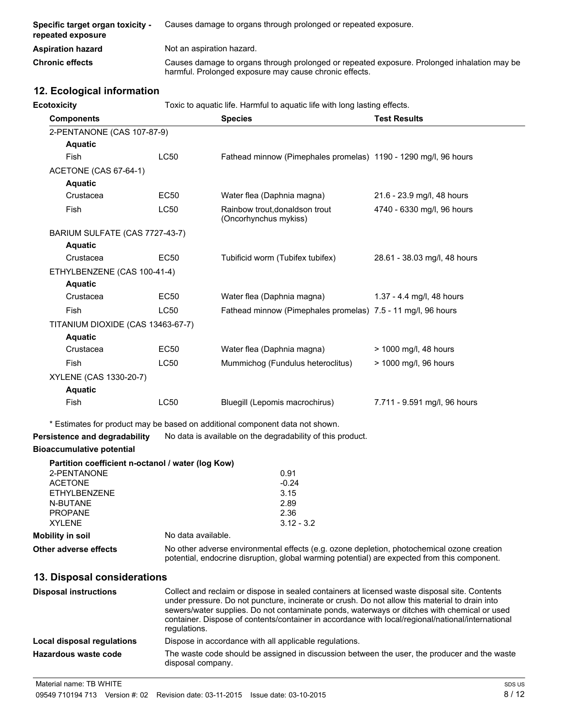| Specific target organ toxicity -<br>repeated exposure | Causes damage to organs through prolonged or repeated exposure.                                                                                       |
|-------------------------------------------------------|-------------------------------------------------------------------------------------------------------------------------------------------------------|
| <b>Aspiration hazard</b>                              | Not an aspiration hazard.                                                                                                                             |
| <b>Chronic effects</b>                                | Causes damage to organs through prolonged or repeated exposure. Prolonged inhalation may be<br>harmful. Prolonged exposure may cause chronic effects. |

# **12. Ecological information**

| Ecotoxicity<br>Toxic to aquatic life. Harmful to aquatic life with long lasting effects. |             |                                                                 |                              |
|------------------------------------------------------------------------------------------|-------------|-----------------------------------------------------------------|------------------------------|
| <b>Components</b>                                                                        |             | <b>Species</b>                                                  | <b>Test Results</b>          |
| 2-PENTANONE (CAS 107-87-9)                                                               |             |                                                                 |                              |
| <b>Aquatic</b>                                                                           |             |                                                                 |                              |
| <b>Fish</b>                                                                              | <b>LC50</b> | Fathead minnow (Pimephales promelas) 1190 - 1290 mg/l, 96 hours |                              |
| ACETONE (CAS 67-64-1)                                                                    |             |                                                                 |                              |
| <b>Aquatic</b>                                                                           |             |                                                                 |                              |
| Crustacea                                                                                | <b>EC50</b> | Water flea (Daphnia magna)                                      | 21.6 - 23.9 mg/l, 48 hours   |
| Fish                                                                                     | <b>LC50</b> | Rainbow trout, donaldson trout<br>(Oncorhynchus mykiss)         | 4740 - 6330 mg/l, 96 hours   |
| BARIUM SULFATE (CAS 7727-43-7)                                                           |             |                                                                 |                              |
| <b>Aquatic</b>                                                                           |             |                                                                 |                              |
| Crustacea                                                                                | <b>EC50</b> | Tubificid worm (Tubifex tubifex)                                | 28.61 - 38.03 mg/l, 48 hours |
| ETHYLBENZENE (CAS 100-41-4)                                                              |             |                                                                 |                              |
| <b>Aquatic</b>                                                                           |             |                                                                 |                              |
| Crustacea                                                                                | <b>EC50</b> | Water flea (Daphnia magna)                                      | 1.37 - 4.4 mg/l, 48 hours    |
| Fish                                                                                     | <b>LC50</b> | Fathead minnow (Pimephales promelas) 7.5 - 11 mg/l, 96 hours    |                              |
| TITANIUM DIOXIDE (CAS 13463-67-7)                                                        |             |                                                                 |                              |
| <b>Aquatic</b>                                                                           |             |                                                                 |                              |
| Crustacea                                                                                | <b>EC50</b> | Water flea (Daphnia magna)                                      | > 1000 mg/l, 48 hours        |
| Fish                                                                                     | <b>LC50</b> | Mummichog (Fundulus heteroclitus)                               | > 1000 mg/l, 96 hours        |
| XYLENE (CAS 1330-20-7)                                                                   |             |                                                                 |                              |
| <b>Aquatic</b>                                                                           |             |                                                                 |                              |
| Fish                                                                                     | <b>LC50</b> | Bluegill (Lepomis macrochirus)                                  | 7.711 - 9.591 mg/l, 96 hours |

\* Estimates for product may be based on additional component data not shown.

**Persistence and degradability** No data is available on the degradability of this product.

## **Bioaccumulative potential**

|                       | Partition coefficient n-octanol / water (log Kow)                                                                                                                                          |
|-----------------------|--------------------------------------------------------------------------------------------------------------------------------------------------------------------------------------------|
| 2-PENTANONE           | 0.91                                                                                                                                                                                       |
| <b>ACETONE</b>        | $-0.24$                                                                                                                                                                                    |
| <b>ETHYLBENZENE</b>   | 3.15                                                                                                                                                                                       |
| N-BUTANE              | 2.89                                                                                                                                                                                       |
| <b>PROPANE</b>        | 2.36                                                                                                                                                                                       |
| <b>XYLENE</b>         | $3.12 - 3.2$                                                                                                                                                                               |
| Mobility in soil      | No data available.                                                                                                                                                                         |
| Other adverse effects | No other adverse environmental effects (e.g. ozone depletion, photochemical ozone creation<br>potential, endocrine disruption, global warming potential) are expected from this component. |

# **13. Disposal considerations**

| <b>Disposal instructions</b> | Collect and reclaim or dispose in sealed containers at licensed waste disposal site. Contents<br>under pressure. Do not puncture, incinerate or crush. Do not allow this material to drain into<br>sewers/water supplies. Do not contaminate ponds, waterways or ditches with chemical or used<br>container. Dispose of contents/container in accordance with local/regional/national/international<br>regulations. |
|------------------------------|---------------------------------------------------------------------------------------------------------------------------------------------------------------------------------------------------------------------------------------------------------------------------------------------------------------------------------------------------------------------------------------------------------------------|
| Local disposal regulations   | Dispose in accordance with all applicable regulations.                                                                                                                                                                                                                                                                                                                                                              |
| Hazardous waste code         | The waste code should be assigned in discussion between the user, the producer and the waste<br>disposal company.                                                                                                                                                                                                                                                                                                   |

Material name: TB WHITE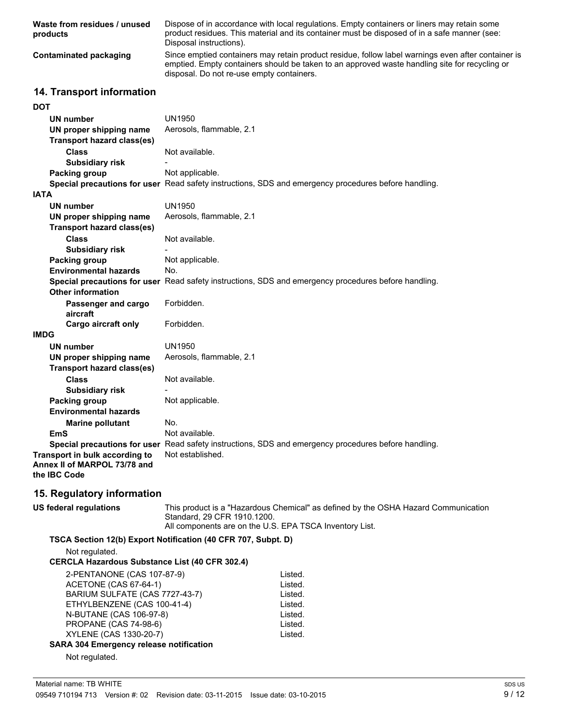| Waste from residues / unused<br>products | Dispose of in accordance with local regulations. Empty containers or liners may retain some<br>product residues. This material and its container must be disposed of in a safe manner (see:<br>Disposal instructions).                           |
|------------------------------------------|--------------------------------------------------------------------------------------------------------------------------------------------------------------------------------------------------------------------------------------------------|
| Contaminated packaging                   | Since emptied containers may retain product residue, follow label warnings even after container is<br>emptied. Empty containers should be taken to an approved waste handling site for recycling or<br>disposal. Do not re-use empty containers. |

## **14. Transport information**

| <b>DOT</b>                                                                     |                                                                                                      |
|--------------------------------------------------------------------------------|------------------------------------------------------------------------------------------------------|
| UN number                                                                      | <b>UN1950</b>                                                                                        |
| UN proper shipping name                                                        | Aerosols, flammable, 2.1                                                                             |
| <b>Transport hazard class(es)</b>                                              |                                                                                                      |
| <b>Class</b>                                                                   | Not available.                                                                                       |
| <b>Subsidiary risk</b>                                                         |                                                                                                      |
| Packing group                                                                  | Not applicable.                                                                                      |
|                                                                                | Special precautions for user Read safety instructions, SDS and emergency procedures before handling. |
| IATA                                                                           |                                                                                                      |
| UN number                                                                      | <b>UN1950</b>                                                                                        |
| UN proper shipping name                                                        | Aerosols, flammable, 2.1                                                                             |
| Transport hazard class(es)                                                     |                                                                                                      |
| <b>Class</b>                                                                   | Not available.                                                                                       |
| <b>Subsidiary risk</b>                                                         |                                                                                                      |
| Packing group                                                                  | Not applicable.                                                                                      |
| <b>Environmental hazards</b>                                                   | No.                                                                                                  |
|                                                                                | Special precautions for user Read safety instructions, SDS and emergency procedures before handling. |
| <b>Other information</b>                                                       |                                                                                                      |
| Passenger and cargo<br>aircraft                                                | Forbidden.                                                                                           |
| Cargo aircraft only                                                            | Forbidden.                                                                                           |
| <b>IMDG</b>                                                                    |                                                                                                      |
| <b>UN number</b>                                                               | <b>UN1950</b>                                                                                        |
| UN proper shipping name                                                        | Aerosols, flammable, 2.1                                                                             |
| <b>Transport hazard class(es)</b>                                              |                                                                                                      |
| <b>Class</b>                                                                   | Not available.                                                                                       |
| <b>Subsidiary risk</b>                                                         |                                                                                                      |
| Packing group                                                                  | Not applicable.                                                                                      |
| <b>Environmental hazards</b>                                                   |                                                                                                      |
| <b>Marine pollutant</b>                                                        | No.                                                                                                  |
| EmS                                                                            | Not available.                                                                                       |
|                                                                                | Special precautions for user Read safety instructions, SDS and emergency procedures before handling. |
| Transport in bulk according to<br>Annex II of MARPOL 73/78 and<br>the IBC Code | Not established.                                                                                     |
| 15. Regulatory information                                                     |                                                                                                      |
| <b>US federal regulations</b>                                                  | This product is a "Hazardous Chemical" as defined by the OSHA Hazard Communication                   |

Standard, 29 CFR 1910.1200. All components are on the U.S. EPA TSCA Inventory List. **TSCA Section 12(b) Export Notification (40 CFR 707, Subpt. D)** Not regulated. **CERCLA Hazardous Substance List (40 CFR 302.4)** 2-PENTANONE (CAS 107-87-9) Listed.<br>ACETONE (CAS 67-64-1) Listed. ACETONE (CAS 67-64-1) Listed.<br>BARIUM SULFATE (CAS 7727-43-7) Listed. BARIUM SULFATE (CAS 7727-43-7) ETHYLBENZENE (CAS 100-41-4) Listed.<br>N-BUTANE (CAS 106-97-8) Listed. **N-BUTANE (CAS 106-97-8)** PROPANE (CAS 74-98-6) Listed.<br>
XYLENE (CAS 1330-20-7) Listed. XYLENE (CAS 1330-20-7) **SARA 304 Emergency release notification** Not regulated.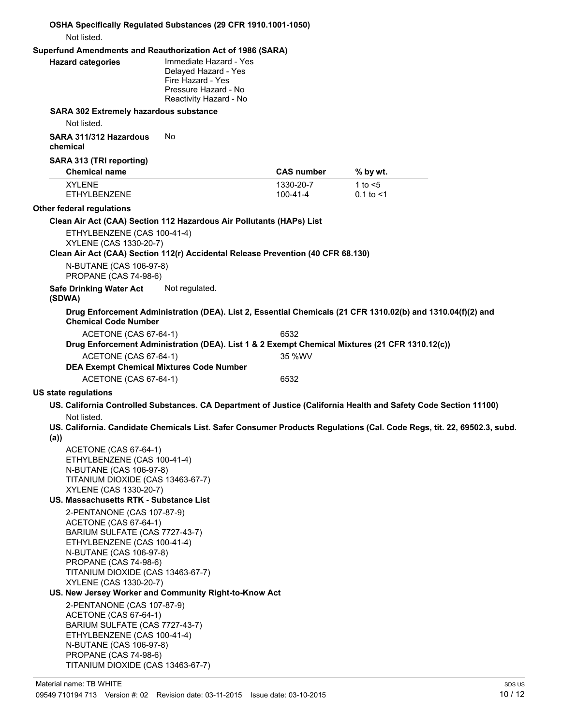|      | Not listed.                                                                                                                                                                                                                                                                                                                                                                                                                                                     | OSHA Specifically Regulated Substances (29 CFR 1910.1001-1050)                                                        |                        |                                                                                                                                                                                                                                            |
|------|-----------------------------------------------------------------------------------------------------------------------------------------------------------------------------------------------------------------------------------------------------------------------------------------------------------------------------------------------------------------------------------------------------------------------------------------------------------------|-----------------------------------------------------------------------------------------------------------------------|------------------------|--------------------------------------------------------------------------------------------------------------------------------------------------------------------------------------------------------------------------------------------|
|      |                                                                                                                                                                                                                                                                                                                                                                                                                                                                 | Superfund Amendments and Reauthorization Act of 1986 (SARA)                                                           |                        |                                                                                                                                                                                                                                            |
|      | <b>Hazard categories</b>                                                                                                                                                                                                                                                                                                                                                                                                                                        | Immediate Hazard - Yes<br>Delayed Hazard - Yes<br>Fire Hazard - Yes<br>Pressure Hazard - No<br>Reactivity Hazard - No |                        |                                                                                                                                                                                                                                            |
|      | SARA 302 Extremely hazardous substance<br>Not listed.                                                                                                                                                                                                                                                                                                                                                                                                           |                                                                                                                       |                        |                                                                                                                                                                                                                                            |
|      | SARA 311/312 Hazardous<br>chemical                                                                                                                                                                                                                                                                                                                                                                                                                              | No.                                                                                                                   |                        |                                                                                                                                                                                                                                            |
|      | SARA 313 (TRI reporting)<br><b>Chemical name</b>                                                                                                                                                                                                                                                                                                                                                                                                                |                                                                                                                       | <b>CAS number</b>      | % by wt.                                                                                                                                                                                                                                   |
|      | <b>XYLENE</b><br><b>ETHYLBENZENE</b>                                                                                                                                                                                                                                                                                                                                                                                                                            |                                                                                                                       | 1330-20-7<br>100-41-4  | 1 to $<$ 5<br>$0.1$ to $< 1$                                                                                                                                                                                                               |
|      | Other federal regulations                                                                                                                                                                                                                                                                                                                                                                                                                                       |                                                                                                                       |                        |                                                                                                                                                                                                                                            |
|      |                                                                                                                                                                                                                                                                                                                                                                                                                                                                 | Clean Air Act (CAA) Section 112 Hazardous Air Pollutants (HAPs) List                                                  |                        |                                                                                                                                                                                                                                            |
|      | ETHYLBENZENE (CAS 100-41-4)<br>XYLENE (CAS 1330-20-7)                                                                                                                                                                                                                                                                                                                                                                                                           | Clean Air Act (CAA) Section 112(r) Accidental Release Prevention (40 CFR 68.130)                                      |                        |                                                                                                                                                                                                                                            |
|      | N-BUTANE (CAS 106-97-8)<br>PROPANE (CAS 74-98-6)                                                                                                                                                                                                                                                                                                                                                                                                                |                                                                                                                       |                        |                                                                                                                                                                                                                                            |
|      | <b>Safe Drinking Water Act</b><br>(SDWA)                                                                                                                                                                                                                                                                                                                                                                                                                        | Not regulated.                                                                                                        |                        |                                                                                                                                                                                                                                            |
|      | <b>Chemical Code Number</b>                                                                                                                                                                                                                                                                                                                                                                                                                                     |                                                                                                                       |                        | Drug Enforcement Administration (DEA). List 2, Essential Chemicals (21 CFR 1310.02(b) and 1310.04(f)(2) and                                                                                                                                |
|      | ACETONE (CAS 67-64-1)<br>ACETONE (CAS 67-64-1)<br><b>DEA Exempt Chemical Mixtures Code Number</b><br>ACETONE (CAS 67-64-1)                                                                                                                                                                                                                                                                                                                                      |                                                                                                                       | 6532<br>35 %WV<br>6532 | Drug Enforcement Administration (DEA). List 1 & 2 Exempt Chemical Mixtures (21 CFR 1310.12(c))                                                                                                                                             |
|      | <b>US state regulations</b>                                                                                                                                                                                                                                                                                                                                                                                                                                     |                                                                                                                       |                        |                                                                                                                                                                                                                                            |
| (a)) | Not listed.<br>ACETONE (CAS 67-64-1)<br>ETHYLBENZENE (CAS 100-41-4)<br>N-BUTANE (CAS 106-97-8)<br>TITANIUM DIOXIDE (CAS 13463-67-7)<br>XYLENE (CAS 1330-20-7)<br>US. Massachusetts RTK - Substance List                                                                                                                                                                                                                                                         |                                                                                                                       |                        | US. California Controlled Substances. CA Department of Justice (California Health and Safety Code Section 11100)<br>US. California. Candidate Chemicals List. Safer Consumer Products Regulations (Cal. Code Regs, tit. 22, 69502.3, subd. |
|      | 2-PENTANONE (CAS 107-87-9)<br>ACETONE (CAS 67-64-1)<br>BARIUM SULFATE (CAS 7727-43-7)<br>ETHYLBENZENE (CAS 100-41-4)<br>N-BUTANE (CAS 106-97-8)<br><b>PROPANE (CAS 74-98-6)</b><br>TITANIUM DIOXIDE (CAS 13463-67-7)<br>XYLENE (CAS 1330-20-7)<br>2-PENTANONE (CAS 107-87-9)<br>ACETONE (CAS 67-64-1)<br>BARIUM SULFATE (CAS 7727-43-7)<br>ETHYLBENZENE (CAS 100-41-4)<br>N-BUTANE (CAS 106-97-8)<br>PROPANE (CAS 74-98-6)<br>TITANIUM DIOXIDE (CAS 13463-67-7) | US. New Jersey Worker and Community Right-to-Know Act                                                                 |                        |                                                                                                                                                                                                                                            |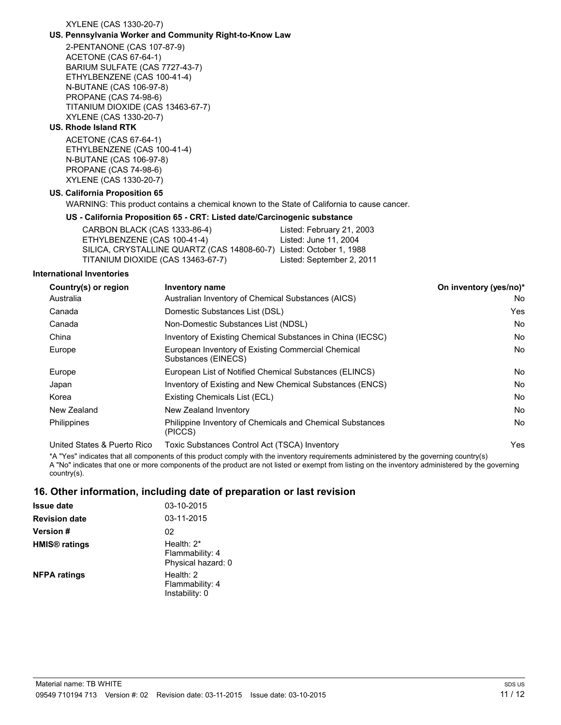#### XYLENE (CAS 1330-20-7)

### **US. Pennsylvania Worker and Community Right-to-Know Law**

2-PENTANONE (CAS 107-87-9) ACETONE (CAS 67-64-1) BARIUM SULFATE (CAS 7727-43-7) ETHYLBENZENE (CAS 100-41-4) N-BUTANE (CAS 106-97-8) PROPANE (CAS 74-98-6) TITANIUM DIOXIDE (CAS 13463-67-7) XYLENE (CAS 1330-20-7)

## **US. Rhode Island RTK**

ACETONE (CAS 67-64-1) ETHYLBENZENE (CAS 100-41-4) N-BUTANE (CAS 106-97-8) PROPANE (CAS 74-98-6) XYLENE (CAS 1330-20-7)

#### **US. California Proposition 65**

WARNING: This product contains a chemical known to the State of California to cause cancer.

#### **US - California Proposition 65 - CRT: Listed date/Carcinogenic substance**

| CARBON BLACK (CAS 1333-86-4)                                        | Listed: February 21, 2003 |
|---------------------------------------------------------------------|---------------------------|
| ETHYLBENZENE (CAS 100-41-4)                                         | Listed: June 11, 2004     |
| SILICA, CRYSTALLINE QUARTZ (CAS 14808-60-7) Listed: October 1, 1988 |                           |
| TITANIUM DIOXIDE (CAS 13463-67-7)                                   | Listed: September 2, 2011 |
|                                                                     |                           |

#### **International Inventories**

| Country(s) or region        | <b>Inventory name</b>                                                     | On inventory (yes/no)* |
|-----------------------------|---------------------------------------------------------------------------|------------------------|
| Australia                   | Australian Inventory of Chemical Substances (AICS)                        | No.                    |
| Canada                      | Domestic Substances List (DSL)                                            | Yes                    |
| Canada                      | Non-Domestic Substances List (NDSL)                                       | No.                    |
| China                       | Inventory of Existing Chemical Substances in China (IECSC)                | No.                    |
| Europe                      | European Inventory of Existing Commercial Chemical<br>Substances (EINECS) | No.                    |
| Europe                      | European List of Notified Chemical Substances (ELINCS)                    | No.                    |
| Japan                       | Inventory of Existing and New Chemical Substances (ENCS)                  | No.                    |
| Korea                       | Existing Chemicals List (ECL)                                             | No.                    |
| New Zealand                 | New Zealand Inventory                                                     | No.                    |
| <b>Philippines</b>          | Philippine Inventory of Chemicals and Chemical Substances<br>(PICCS)      | No.                    |
| United States & Puerto Rico | Toxic Substances Control Act (TSCA) Inventory                             | Yes.                   |

\*A "Yes" indicates that all components of this product comply with the inventory requirements administered by the governing country(s) A "No" indicates that one or more components of the product are not listed or exempt from listing on the inventory administered by the governing country(s).

## **16. Other information, including date of preparation or last revision**

| <b>Issue date</b>               | 03-10-2015                                             |  |
|---------------------------------|--------------------------------------------------------|--|
| <b>Revision date</b>            | 03-11-2015                                             |  |
| <b>Version</b> #                | 02                                                     |  |
| <b>HMIS<sup>®</sup></b> ratings | Health: $2^*$<br>Flammability: 4<br>Physical hazard: 0 |  |
| <b>NFPA ratings</b>             | Health: $2$<br>Flammability: 4<br>Instability: 0       |  |